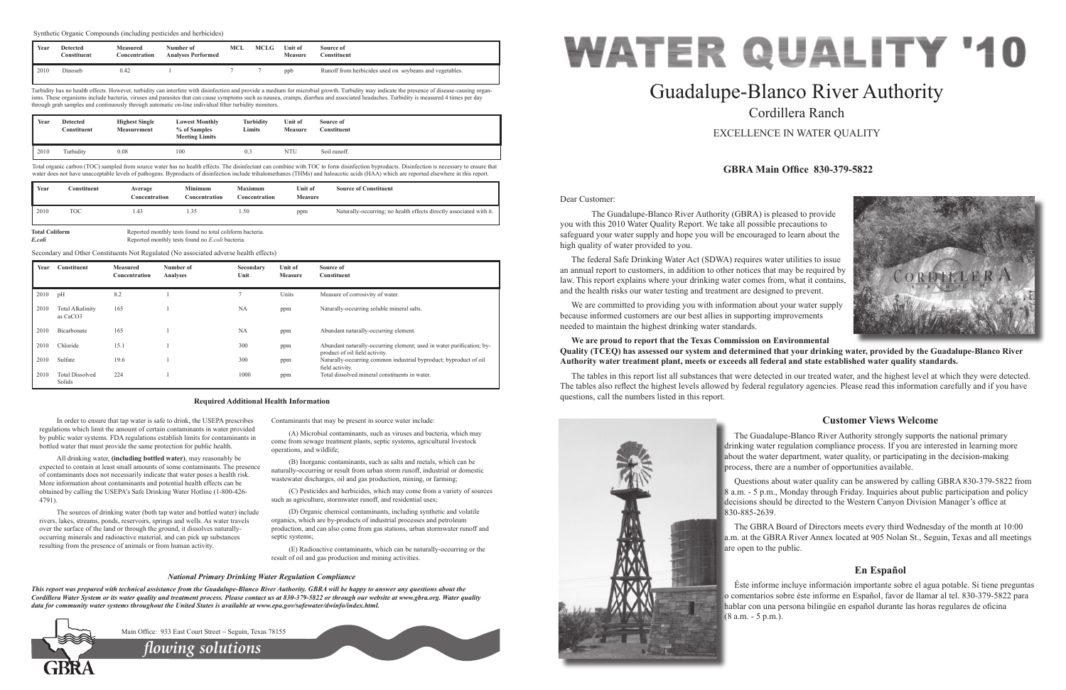Dear Customer:



The Guadalupe-Blanco River Authority (GBRA) is pleased to provide

# you with this 2010 Water Quality Report. We take all possible precautions to safeguard your water supply and hope you will be encouraged to learn about the high quality of water provided to you. The federal Safe Drinking Water Act (SDWA) requires water utilities to issue an annual report to customers, in addition to other notices that may be required by

law. This report explains where your drinking water comes from, what it contains, and the health risks our water testing and treatment are designed to prevent.

We are committed to providing you with information about your water supply because informed customers are our best allies in supporting improvements needed to maintain the highest drinking water standards.

### **We are proud to report that the Texas Commission on Environmental Quality (TCEQ) has assessed our system and determined that your drinking water, provided by the Guadalupe-Blanco River Authority water treatment plant, meets or exceeds all federal and state established water quality standards.**

The tables in this report list all substances that were detected in our treated water, and the highest level at which they were detected. The tables also reflect the highest levels allowed by federal regulatory agencies. Please read this information carefully and if you have questions, call the numbers listed in this report.



# Guadalupe-Blanco River Authority Cordillera Ranch

EXCELLENCE IN WATER QUALITY

# **GBRA Main Office 830-379-5822**

# **Customer Views Welcome**

The Guadalupe-Blanco River Authority strongly supports the national primary drinking water regulation compliance process. If you are interested in learning more about the water department, water quality, or participating in the decision-making process, there are a number of opportunities available.

Questions about water quality can be answered by calling GBRA 830-379-5822 from 8 a.m. - 5 p.m., Monday through Friday. Inquiries about public participation and policy decisions should be directed to the Western Canyon Division Manager's office at 830-885-2639.

(D) Organic chemical contaminants, including synthetic and volatile organics, which are by-products of industrial processes and petroleum production, and can also come from gas stations, urban stormwater runoff and septic systems;

The GBRA Board of Directors meets every third Wednesday of the month at 10:00 a.m. at the GBRA River Annex located at 905 Nolan St., Seguin, Texas and all meetings are open to the public.

# **En Español**

Éste informe incluye información importante sobre el agua potable. Si tiene preguntas o comentarios sobre éste informe en Español, favor de llamar al tel. 830-379-5822 para hablar con una persona bilingüe en español durante las horas regulares de oficina (8 a.m. - 5 p.m.).

In order to ensure that tap water is safe to drink, the USEPA prescribes regulations which limit the amount of certain contaminants in water provided by public water systems. FDA regulations establish limits for contaminants in bottled water that must provide the same protection for public health.

Turbidity has no health effects. However, turbidity can interfere with disinfection and provide a medium for microbial growth. Turbidity may indicate the presence of disease-causing organisms. These organisms include bacteria, viruses and parasites that can cause symptoms such as nausea, cramps, diarrhea and associated headaches. Turbidity is measured 4 times per day through grab samples and continuously through automatic on-line individual filter turbidity monitors.

Total organic carbon (TOC) sampled from source water has no health effects. The disinfectant can combine with TOC to form disinfection byproducts. Disinfection is necessary to ensure that water does not have unacceptable levels of pathogens. Byproducts of disinfection include trihalomethanes (THMs) and haloacetic acids (HAA) which are reported elsewhere in this report.

All drinking water, **(including bottled water)**, may reasonably be expected to contain at least small amounts of some contaminants. The presence of contaminants does not necessarily indicate that water poses a health risk. More information about contaminants and potential health effects can be obtained by calling the USEPA's Safe Drinking Water Hotline (1-800-426- 4791).

The sources of drinking water (both tap water and bottled water) include rivers, lakes, streams, ponds, reservoirs, springs and wells. As water travels over the surface of the land or through the ground, it dissolves naturallyoccurring minerals and radioactive material, and can pick up substances resulting from the presence of animals or from human activity.

Contaminants that may be present in source water include:

(A) Microbial contaminants, such as viruses and bacteria, which may come from sewage treatment plants, septic systems, agricultural livestock operations, and wildlife;

(B) Inorganic contaminants, such as salts and metals, which can be naturally-occurring or result from urban storm runoff, industrial or domestic wastewater discharges, oil and gas production, mining, or farming;

(C) Pesticides and herbicides, which may come from a variety of sources such as agriculture, stormwater runoff, and residential uses;

(E) Radioactive contaminants, which can be naturally-occurring or the result of oil and gas production and mining activities.

#### **Required Additional Health Information**

#### *National Primary Drinking Water Regulation Compliance*

*This report was prepared with technical assistance from the Guadalupe-Blanco River Authority. GBRA will be happy to answer any questions about the Cordillera Water System or its water quality and treatment process. Please contact us at 830-379-5822 or through our website at www.gbra.org. Water quality data for community water systems throughout the United States is available at www.epa.gov/safewater/dwinfo/index.html.*



| Year | <b>Detected</b><br>$\cap$ onstituent | <b>Highest Single</b><br><b>Measurement</b> | <b>Lowest Monthly</b><br>% of Samples<br><b>Meeting Limits</b> | Turbidity<br>Limits | Unit of<br><b>Measure</b> | Source of<br>Constituent |  |
|------|--------------------------------------|---------------------------------------------|----------------------------------------------------------------|---------------------|---------------------------|--------------------------|--|
| 2010 | Turbidity                            | 0.08                                        | 100                                                            | 0.3                 | <b>NTU</b>                | Soil runoff.             |  |

| Year | <b>Constituent</b> | Average<br>Concentration | <b>Minimum</b><br>Concentration | <b>Maximum</b><br>Concentration | Unit of<br><b>Measure</b> | <b>Source of Constituent</b>                                        |
|------|--------------------|--------------------------|---------------------------------|---------------------------------|---------------------------|---------------------------------------------------------------------|
| 2010 | <b>TOC</b>         | 1.43                     | 35                              | 1.50                            | ppm                       | Naturally-occurring; no health effects directly associated with it. |

**Total Coliform** Reported monthly tests found no total coliform bacteria.<br>
Reported monthly tests found no *E coli* bacteria

*E.coli* Reported monthly tests found no *E.coli* bacteria.

| Year | <b>Constituent</b>                              | <b>Measured</b><br>Concentration | Number of<br><b>Analyses</b> | Secondary<br>Unit | Unit of<br><b>Measure</b> | Source of<br>Constituent                                                                                |
|------|-------------------------------------------------|----------------------------------|------------------------------|-------------------|---------------------------|---------------------------------------------------------------------------------------------------------|
| 2010 | pH                                              | 8.2                              |                              |                   | Units                     | Measure of corrosivity of water.                                                                        |
| 2010 | <b>Total Alkalinity</b><br>as CaCO <sub>3</sub> | 165                              |                              | <b>NA</b>         | ppm                       | Naturally-occurring soluble mineral salts.                                                              |
| 2010 | Bicarbonate                                     | 165                              |                              | NA                | ppm                       | Abundant naturally-occurring element.                                                                   |
| 2010 | Chloride                                        | 15.1                             |                              | 300               | ppm                       | Abundant naturally-occurring element; used in water purification; by-<br>product of oil field activity. |
| 2010 | Sulfate                                         | 19.6                             |                              | 300               | ppm                       | Naturally-occurring common industrial byproduct; byproduct of oil<br>field activity.                    |
| 2010 | <b>Total Dissolved</b><br>Solids                | 224                              |                              | 1000              | ppm                       | Total dissolved mineral constituents in water.                                                          |

Secondary and Other Constituents Not Regulated (No associated adverse health effects)

*flowing solutions*

Main Office: 933 East Court Street ~ Seguin, Texas 78155

| Year | <b>Detected</b><br><b>Constituent</b> | <b>Measured</b><br>Concentration | Number of<br><b>Analyses Performed</b> | MCL | <b>MCLG</b> | Unit of<br><b>Measure</b> | Source of<br><b>Constituent</b>                         |
|------|---------------------------------------|----------------------------------|----------------------------------------|-----|-------------|---------------------------|---------------------------------------------------------|
| 2010 | Dinoseb                               | 0.42                             |                                        |     |             | ppb                       | Runoff from herbicides used on soybeans and vegetables. |

Synthetic Organic Compounds (including pesticides and herbicides)